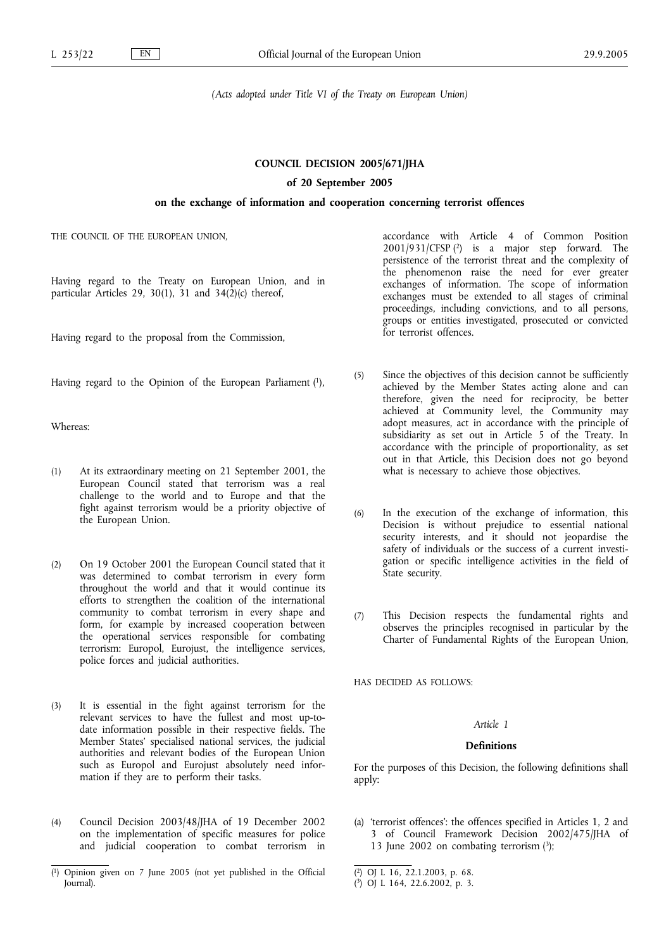*(Acts adopted under Title VI of the Treaty on European Union)*

### **COUNCIL DECISION 2005/671/JHA**

### **of 20 September 2005**

## **on the exchange of information and cooperation concerning terrorist offences**

THE COUNCIL OF THE EUROPEAN UNION,

Having regard to the Treaty on European Union, and in particular Articles 29, 30(1), 31 and  $34(\overline{2})(c)$  thereof,

Having regard to the proposal from the Commission,

Having regard to the Opinion of the European Parliament (1),

Whereas:

- (1) At its extraordinary meeting on 21 September 2001, the European Council stated that terrorism was a real challenge to the world and to Europe and that the fight against terrorism would be a priority objective of the European Union.
- (2) On 19 October 2001 the European Council stated that it was determined to combat terrorism in every form throughout the world and that it would continue its efforts to strengthen the coalition of the international community to combat terrorism in every shape and form, for example by increased cooperation between the operational services responsible for combating terrorism: Europol, Eurojust, the intelligence services, police forces and judicial authorities.
- (3) It is essential in the fight against terrorism for the relevant services to have the fullest and most up-todate information possible in their respective fields. The Member States' specialised national services, the judicial authorities and relevant bodies of the European Union such as Europol and Eurojust absolutely need information if they are to perform their tasks.
- (4) Council Decision 2003/48/JHA of 19 December 2002 on the implementation of specific measures for police and judicial cooperation to combat terrorism in

accordance with Article 4 of Common Position 2001/931/CFSP (2) is a major step forward. The persistence of the terrorist threat and the complexity of the phenomenon raise the need for ever greater exchanges of information. The scope of information exchanges must be extended to all stages of criminal proceedings, including convictions, and to all persons, groups or entities investigated, prosecuted or convicted for terrorist offences.

- (5) Since the objectives of this decision cannot be sufficiently achieved by the Member States acting alone and can therefore, given the need for reciprocity, be better achieved at Community level, the Community may adopt measures, act in accordance with the principle of subsidiarity as set out in Article 5 of the Treaty. In accordance with the principle of proportionality, as set out in that Article, this Decision does not go beyond what is necessary to achieve those objectives.
- (6) In the execution of the exchange of information, this Decision is without prejudice to essential national security interests, and it should not jeopardise the safety of individuals or the success of a current investigation or specific intelligence activities in the field of State security.
- (7) This Decision respects the fundamental rights and observes the principles recognised in particular by the Charter of Fundamental Rights of the European Union,

HAS DECIDED AS FOLLOWS:

# *Article 1*

# **Definitions**

For the purposes of this Decision, the following definitions shall apply:

(a) 'terrorist offences': the offences specified in Articles 1, 2 and 3 of Council Framework Decision 2002/475/JHA of 13 June 2002 on combating terrorism  $(3)$ ;

<sup>(</sup> 1) Opinion given on 7 June 2005 (not yet published in the Official Journal).

<sup>(</sup> 2) OJ L 16, 22.1.2003, p. 68.

<sup>(</sup> 3) OJ L 164, 22.6.2002, p. 3.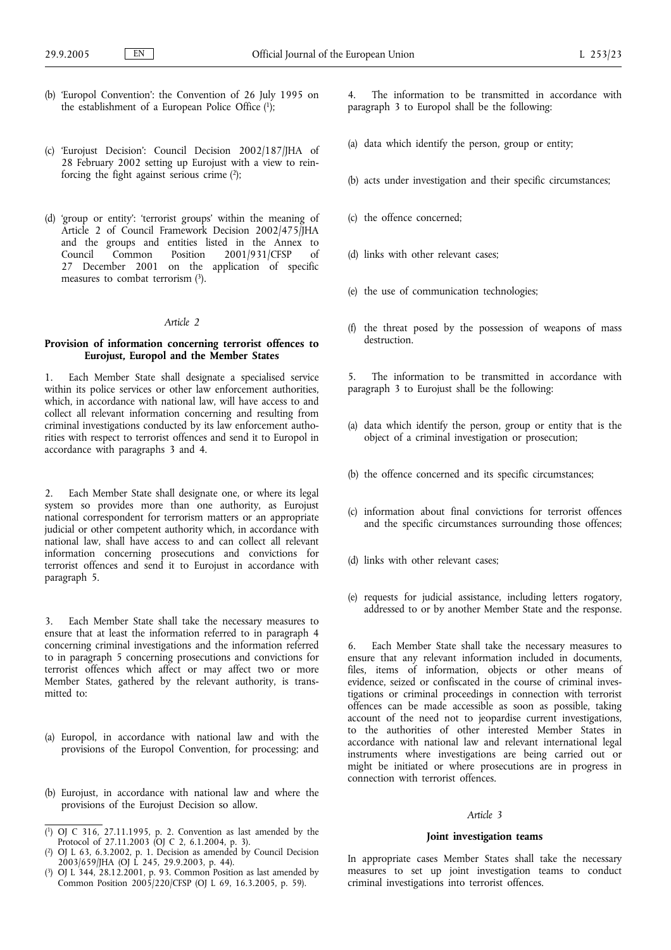- (b) 'Europol Convention': the Convention of 26 July 1995 on the establishment of a European Police Office (1);
- (c) 'Eurojust Decision': Council Decision 2002/187/JHA of 28 February 2002 setting up Eurojust with a view to reinforcing the fight against serious crime  $(2)$ ;
- (d) 'group or entity': 'terrorist groups' within the meaning of Article 2 of Council Framework Decision 2002/475/JHA and the groups and entities listed in the Annex to<br>Council Common Position 2001/931/CFSP of 2001/931/CFSP 27 December 2001 on the application of specific measures to combat terrorism (3).

#### *Article 2*

### **Provision of information concerning terrorist offences to Eurojust, Europol and the Member States**

1. Each Member State shall designate a specialised service within its police services or other law enforcement authorities, which, in accordance with national law, will have access to and collect all relevant information concerning and resulting from criminal investigations conducted by its law enforcement authorities with respect to terrorist offences and send it to Europol in accordance with paragraphs 3 and 4.

2. Each Member State shall designate one, or where its legal system so provides more than one authority, as Eurojust national correspondent for terrorism matters or an appropriate judicial or other competent authority which, in accordance with national law, shall have access to and can collect all relevant information concerning prosecutions and convictions for terrorist offences and send it to Eurojust in accordance with paragraph 5.

3. Each Member State shall take the necessary measures to ensure that at least the information referred to in paragraph 4 concerning criminal investigations and the information referred to in paragraph 5 concerning prosecutions and convictions for terrorist offences which affect or may affect two or more Member States, gathered by the relevant authority, is transmitted to:

- (a) Europol, in accordance with national law and with the provisions of the Europol Convention, for processing; and
- (b) Eurojust, in accordance with national law and where the provisions of the Eurojust Decision so allow.

The information to be transmitted in accordance with paragraph 3 to Europol shall be the following:

- (a) data which identify the person, group or entity;
- (b) acts under investigation and their specific circumstances;
- (c) the offence concerned;
- (d) links with other relevant cases;
- (e) the use of communication technologies;
- (f) the threat posed by the possession of weapons of mass destruction<sup>1</sup>
- 5. The information to be transmitted in accordance with paragraph 3 to Eurojust shall be the following:
- (a) data which identify the person, group or entity that is the object of a criminal investigation or prosecution;
- (b) the offence concerned and its specific circumstances;
- (c) information about final convictions for terrorist offences and the specific circumstances surrounding those offences;
- (d) links with other relevant cases;
- (e) requests for judicial assistance, including letters rogatory, addressed to or by another Member State and the response.

6. Each Member State shall take the necessary measures to ensure that any relevant information included in documents, files, items of information, objects or other means of evidence, seized or confiscated in the course of criminal investigations or criminal proceedings in connection with terrorist offences can be made accessible as soon as possible, taking account of the need not to jeopardise current investigations, to the authorities of other interested Member States in accordance with national law and relevant international legal instruments where investigations are being carried out or might be initiated or where prosecutions are in progress in connection with terrorist offences.

### *Article 3*

#### **Joint investigation teams**

In appropriate cases Member States shall take the necessary measures to set up joint investigation teams to conduct criminal investigations into terrorist offences.

<sup>(</sup> 1) OJ C 316, 27.11.1995, p. 2. Convention as last amended by the Protocol of 27.11.2003 (OJ C 2, 6.1.2004, p. 3).

<sup>(</sup> 2) OJ L 63, 6.3.2002, p. 1. Decision as amended by Council Decision 2003/659/JHA (OJ L 245, 29.9.2003, p. 44).

<sup>(</sup> 3) OJ L 344, 28.12.2001, p. 93. Common Position as last amended by Common Position 2005/220/CFSP (OJ L 69, 16.3.2005, p. 59).